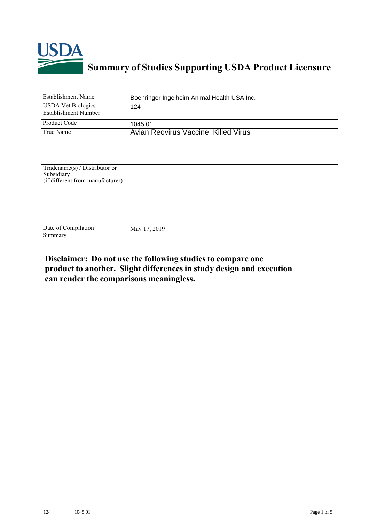

## **Summary of Studies Supporting USDA Product Licensure**

| <b>Establishment Name</b>                                                       | Boehringer Ingelheim Animal Health USA Inc. |
|---------------------------------------------------------------------------------|---------------------------------------------|
| <b>USDA Vet Biologics</b><br><b>Establishment Number</b>                        | 124                                         |
| <b>Product Code</b>                                                             | 1045.01                                     |
| True Name                                                                       | Avian Reovirus Vaccine, Killed Virus        |
| Tradename(s) / Distributor or<br>Subsidiary<br>(if different from manufacturer) |                                             |
| Date of Compilation<br>Summary                                                  | May 17, 2019                                |

## **Disclaimer: Do not use the following studiesto compare one product to another. Slight differencesin study design and execution can render the comparisons meaningless.**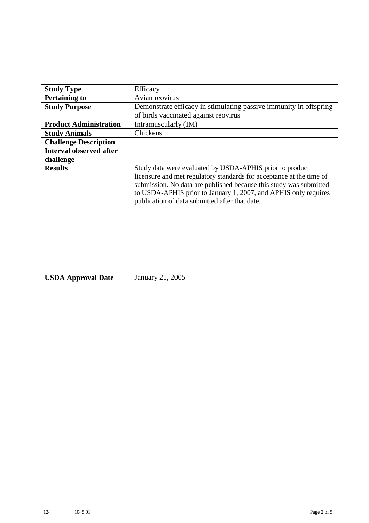| <b>Study Type</b>              | Efficacy                                                                                                                                                                                                                                                                                                                    |
|--------------------------------|-----------------------------------------------------------------------------------------------------------------------------------------------------------------------------------------------------------------------------------------------------------------------------------------------------------------------------|
| <b>Pertaining to</b>           | Avian reovirus                                                                                                                                                                                                                                                                                                              |
| <b>Study Purpose</b>           | Demonstrate efficacy in stimulating passive immunity in offspring<br>of birds vaccinated against reovirus                                                                                                                                                                                                                   |
| <b>Product Administration</b>  | Intramuscularly (IM)                                                                                                                                                                                                                                                                                                        |
| <b>Study Animals</b>           | Chickens                                                                                                                                                                                                                                                                                                                    |
| <b>Challenge Description</b>   |                                                                                                                                                                                                                                                                                                                             |
| <b>Interval observed after</b> |                                                                                                                                                                                                                                                                                                                             |
| challenge                      |                                                                                                                                                                                                                                                                                                                             |
| <b>Results</b>                 | Study data were evaluated by USDA-APHIS prior to product<br>licensure and met regulatory standards for acceptance at the time of<br>submission. No data are published because this study was submitted<br>to USDA-APHIS prior to January 1, 2007, and APHIS only requires<br>publication of data submitted after that date. |
| <b>USDA Approval Date</b>      | January 21, 2005                                                                                                                                                                                                                                                                                                            |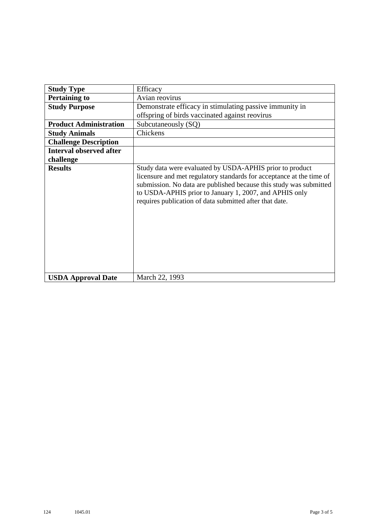| <b>Study Type</b>              | Efficacy                                                                                                                                                                                                                                                                                                                    |
|--------------------------------|-----------------------------------------------------------------------------------------------------------------------------------------------------------------------------------------------------------------------------------------------------------------------------------------------------------------------------|
| <b>Pertaining to</b>           | Avian reovirus                                                                                                                                                                                                                                                                                                              |
| <b>Study Purpose</b>           | Demonstrate efficacy in stimulating passive immunity in                                                                                                                                                                                                                                                                     |
|                                | offspring of birds vaccinated against reovirus                                                                                                                                                                                                                                                                              |
| <b>Product Administration</b>  | Subcutaneously (SQ)                                                                                                                                                                                                                                                                                                         |
| <b>Study Animals</b>           | Chickens                                                                                                                                                                                                                                                                                                                    |
| <b>Challenge Description</b>   |                                                                                                                                                                                                                                                                                                                             |
| <b>Interval observed after</b> |                                                                                                                                                                                                                                                                                                                             |
| challenge                      |                                                                                                                                                                                                                                                                                                                             |
| <b>Results</b>                 | Study data were evaluated by USDA-APHIS prior to product<br>licensure and met regulatory standards for acceptance at the time of<br>submission. No data are published because this study was submitted<br>to USDA-APHIS prior to January 1, 2007, and APHIS only<br>requires publication of data submitted after that date. |
| <b>USDA Approval Date</b>      | March 22, 1993                                                                                                                                                                                                                                                                                                              |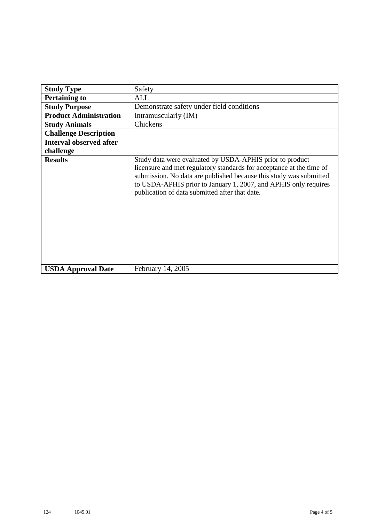| <b>Study Type</b>              | Safety                                                                                                                                                                                                                                                                                                                      |
|--------------------------------|-----------------------------------------------------------------------------------------------------------------------------------------------------------------------------------------------------------------------------------------------------------------------------------------------------------------------------|
| <b>Pertaining to</b>           | ALL                                                                                                                                                                                                                                                                                                                         |
| <b>Study Purpose</b>           | Demonstrate safety under field conditions                                                                                                                                                                                                                                                                                   |
| <b>Product Administration</b>  | Intramuscularly (IM)                                                                                                                                                                                                                                                                                                        |
| <b>Study Animals</b>           | Chickens                                                                                                                                                                                                                                                                                                                    |
| <b>Challenge Description</b>   |                                                                                                                                                                                                                                                                                                                             |
| <b>Interval observed after</b> |                                                                                                                                                                                                                                                                                                                             |
| challenge                      |                                                                                                                                                                                                                                                                                                                             |
| <b>Results</b>                 | Study data were evaluated by USDA-APHIS prior to product<br>licensure and met regulatory standards for acceptance at the time of<br>submission. No data are published because this study was submitted<br>to USDA-APHIS prior to January 1, 2007, and APHIS only requires<br>publication of data submitted after that date. |
| <b>USDA Approval Date</b>      | February 14, 2005                                                                                                                                                                                                                                                                                                           |